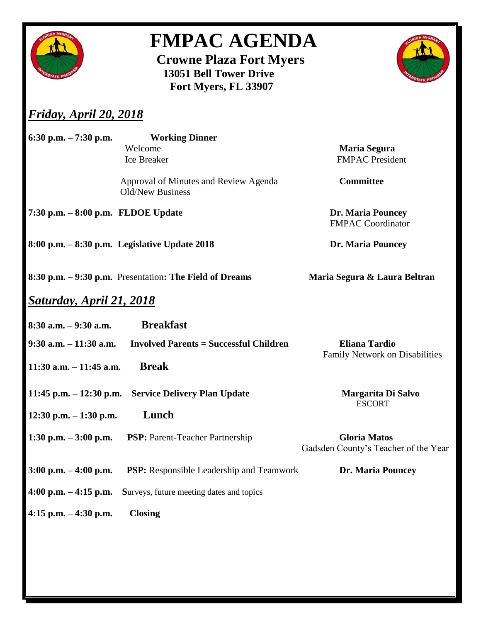

## **FMPAC AGENDA**

 **Crowne Plaza Fort Myers 13051 Bell Tower Drive Fort Myers, FL 33907**



## *Friday, April 20, 2018*

| 6:30 p.m. $-7:30$ p.m.              | <b>Working Dinner</b>                                     |                                                             |
|-------------------------------------|-----------------------------------------------------------|-------------------------------------------------------------|
|                                     | Welcome<br>Ice Breaker                                    | <b>Maria Segura</b><br><b>FMPAC</b> President               |
|                                     | Approval of Minutes and Review Agenda<br>Old/New Business | <b>Committee</b>                                            |
| 7:30 p.m. $-8:00$ p.m. FLDOE Update |                                                           | <b>Dr. Maria Pouncey</b><br><b>FMPAC Coordinator</b>        |
|                                     | $8:00$ p.m. $-8:30$ p.m. Legislative Update 2018          | <b>Dr. Maria Pouncey</b>                                    |
|                                     | 8:30 p.m. – 9:30 p.m. Presentation: The Field of Dreams   | Maria Segura & Laura Beltran                                |
| <u>Saturday, April 21, 2018</u>     |                                                           |                                                             |
| $8:30$ a.m. $-9:30$ a.m.            | <b>Breakfast</b>                                          |                                                             |
| $9:30$ a.m. $-11:30$ a.m.           | <b>Involved Parents = Successful Children</b>             | <b>Eliana Tardio</b><br>Family Network on Disabilities      |
| $11:30$ a.m. $-11:45$ a.m.          | <b>Break</b>                                              |                                                             |
|                                     | 11:45 p.m. – 12:30 p.m. Service Delivery Plan Update      | Margarita Di Salvo<br><b>ESCORT</b>                         |
| 12:30 p.m. $-1:30$ p.m.             | Lunch                                                     |                                                             |
| 1:30 p.m. $-3:00$ p.m.              | <b>PSP:</b> Parent-Teacher Partnership                    | <b>Gloria Matos</b><br>Gadsden County's Teacher of the Year |
| $3:00$ p.m. $-4:00$ p.m.            | <b>PSP:</b> Responsible Leadership and Teamwork           | <b>Dr. Maria Pouncey</b>                                    |
| 4:00 p.m. $-$ 4:15 p.m.             | Surveys, future meeting dates and topics                  |                                                             |
| 4:15 p.m. $-4:30$ p.m.              | <b>Closing</b>                                            |                                                             |